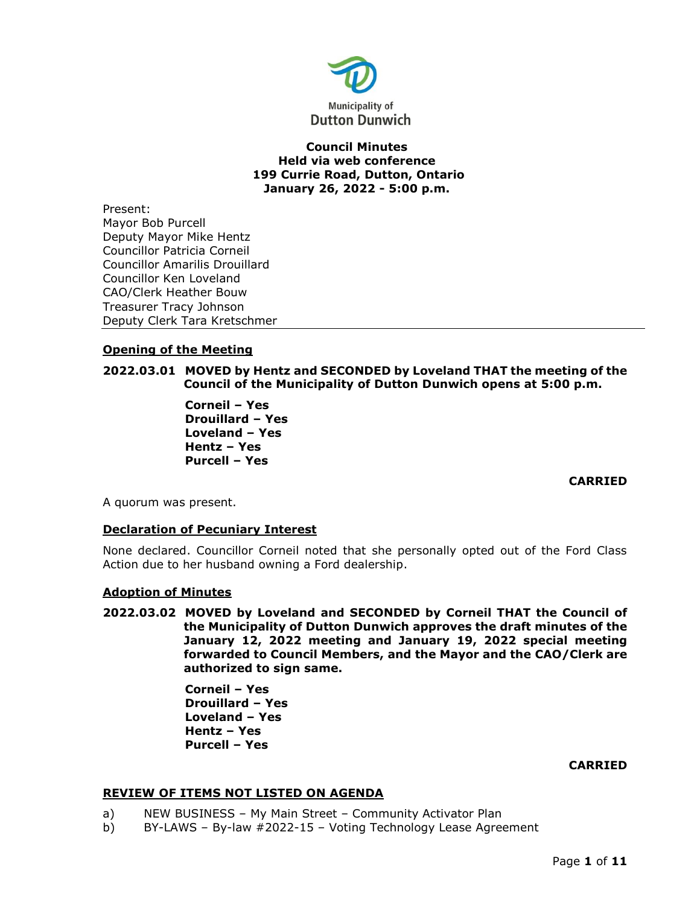

## **Council Minutes Held via web conference 199 Currie Road, Dutton, Ontario January 26, 2022 - 5:00 p.m.**

Present: Mayor Bob Purcell Deputy Mayor Mike Hentz Councillor Patricia Corneil Councillor Amarilis Drouillard Councillor Ken Loveland CAO/Clerk Heather Bouw Treasurer Tracy Johnson Deputy Clerk Tara Kretschmer

# **Opening of the Meeting**

# **2022.03.01 MOVED by Hentz and SECONDED by Loveland THAT the meeting of the Council of the Municipality of Dutton Dunwich opens at 5:00 p.m.**

**Corneil – Yes Drouillard – Yes Loveland – Yes Hentz – Yes Purcell – Yes** 

**CARRIED**

A quorum was present.

# **Declaration of Pecuniary Interest**

None declared. Councillor Corneil noted that she personally opted out of the Ford Class Action due to her husband owning a Ford dealership.

### **Adoption of Minutes**

**2022.03.02 MOVED by Loveland and SECONDED by Corneil THAT the Council of the Municipality of Dutton Dunwich approves the draft minutes of the January 12, 2022 meeting and January 19, 2022 special meeting forwarded to Council Members, and the Mayor and the CAO/Clerk are authorized to sign same.**

> **Corneil – Yes Drouillard – Yes Loveland – Yes Hentz – Yes Purcell – Yes**

### **CARRIED**

# **REVIEW OF ITEMS NOT LISTED ON AGENDA**

- a) NEW BUSINESS My Main Street Community Activator Plan
- b) BY-LAWS By-law #2022-15 Voting Technology Lease Agreement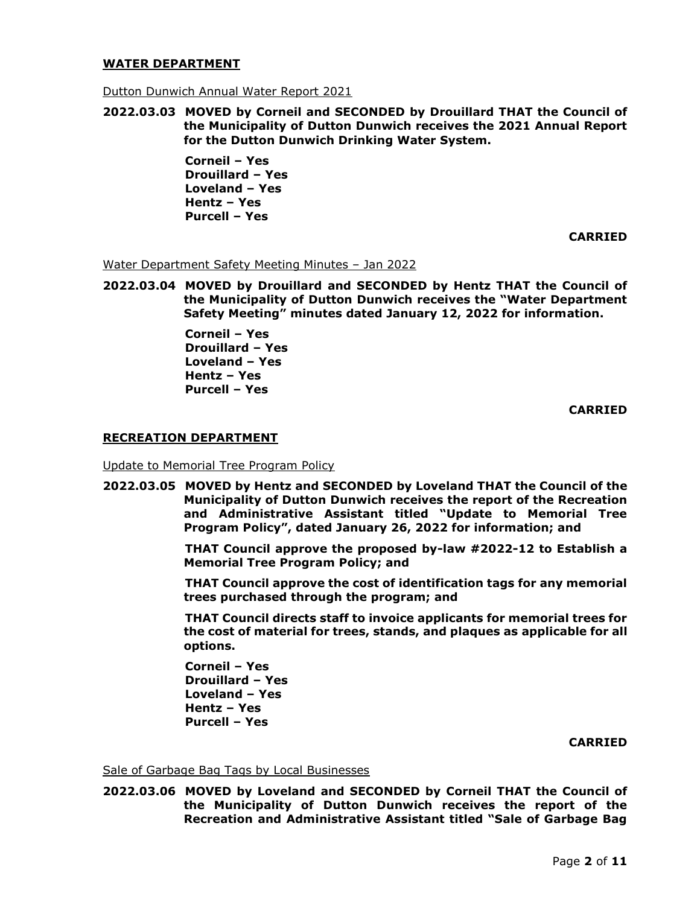### **WATER DEPARTMENT**

Dutton Dunwich Annual Water Report 2021

**2022.03.03 MOVED by Corneil and SECONDED by Drouillard THAT the Council of the Municipality of Dutton Dunwich receives the 2021 Annual Report for the Dutton Dunwich Drinking Water System.**

> **Corneil – Yes Drouillard – Yes Loveland – Yes Hentz – Yes Purcell – Yes**

> > **CARRIED**

Water Department Safety Meeting Minutes – Jan 2022

**2022.03.04 MOVED by Drouillard and SECONDED by Hentz THAT the Council of the Municipality of Dutton Dunwich receives the "Water Department Safety Meeting" minutes dated January 12, 2022 for information.**

> **Corneil – Yes Drouillard – Yes Loveland – Yes Hentz – Yes Purcell – Yes**

> > **CARRIED**

### **RECREATION DEPARTMENT**

Update to Memorial Tree Program Policy

**2022.03.05 MOVED by Hentz and SECONDED by Loveland THAT the Council of the Municipality of Dutton Dunwich receives the report of the Recreation and Administrative Assistant titled "Update to Memorial Tree Program Policy", dated January 26, 2022 for information; and**

> **THAT Council approve the proposed by-law #2022-12 to Establish a Memorial Tree Program Policy; and**

> **THAT Council approve the cost of identification tags for any memorial trees purchased through the program; and**

> **THAT Council directs staff to invoice applicants for memorial trees for the cost of material for trees, stands, and plaques as applicable for all options.**

**Corneil – Yes Drouillard – Yes Loveland – Yes Hentz – Yes Purcell – Yes** 

**CARRIED**

Sale of Garbage Bag Tags by Local Businesses

**2022.03.06 MOVED by Loveland and SECONDED by Corneil THAT the Council of the Municipality of Dutton Dunwich receives the report of the Recreation and Administrative Assistant titled "Sale of Garbage Bag**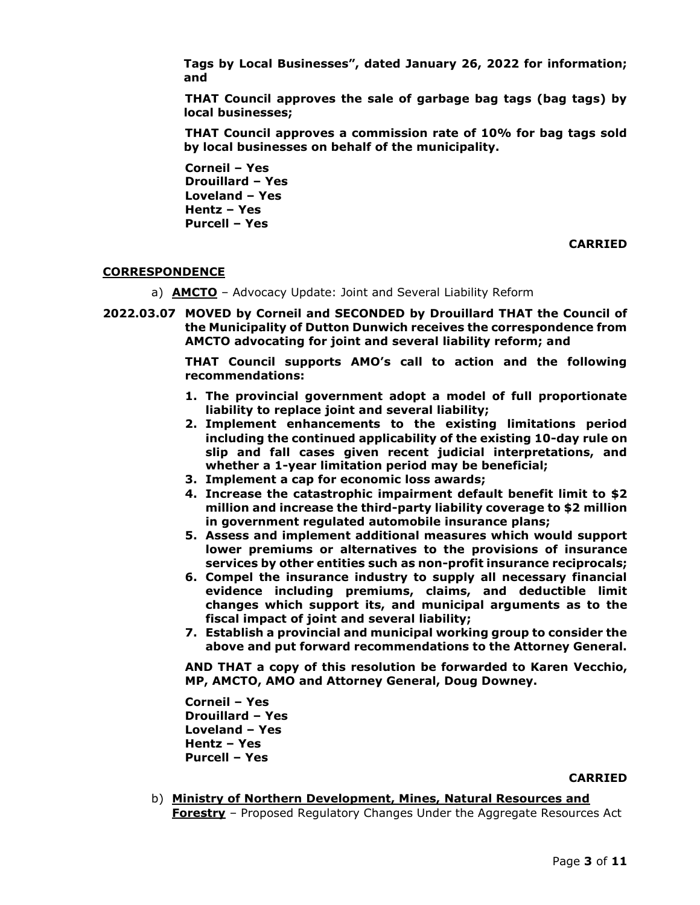**Tags by Local Businesses", dated January 26, 2022 for information; and**

**THAT Council approves the sale of garbage bag tags (bag tags) by local businesses;**

**THAT Council approves a commission rate of 10% for bag tags sold by local businesses on behalf of the municipality.**

**Corneil – Yes Drouillard – Yes Loveland – Yes Hentz – Yes Purcell – Yes** 

**CARRIED**

## **CORRESPONDENCE**

- a) **AMCTO** Advocacy Update: Joint and Several Liability Reform
- **2022.03.07 MOVED by Corneil and SECONDED by Drouillard THAT the Council of the Municipality of Dutton Dunwich receives the correspondence from AMCTO advocating for joint and several liability reform; and**

**THAT Council supports AMO's call to action and the following recommendations:**

- **1. The provincial government adopt a model of full proportionate liability to replace joint and several liability;**
- **2. Implement enhancements to the existing limitations period including the continued applicability of the existing 10-day rule on slip and fall cases given recent judicial interpretations, and whether a 1-year limitation period may be beneficial;**
- **3. Implement a cap for economic loss awards;**
- **4. Increase the catastrophic impairment default benefit limit to \$2 million and increase the third-party liability coverage to \$2 million in government regulated automobile insurance plans;**
- **5. Assess and implement additional measures which would support lower premiums or alternatives to the provisions of insurance services by other entities such as non-profit insurance reciprocals;**
- **6. Compel the insurance industry to supply all necessary financial evidence including premiums, claims, and deductible limit changes which support its, and municipal arguments as to the fiscal impact of joint and several liability;**
- **7. Establish a provincial and municipal working group to consider the above and put forward recommendations to the Attorney General.**

**AND THAT a copy of this resolution be forwarded to Karen Vecchio, MP, AMCTO, AMO and Attorney General, Doug Downey.**

**Corneil – Yes Drouillard – Yes Loveland – Yes Hentz – Yes Purcell – Yes** 

#### **CARRIED**

b) **Ministry of Northern Development, Mines, Natural Resources and Forestry** – Proposed Regulatory Changes Under the Aggregate Resources Act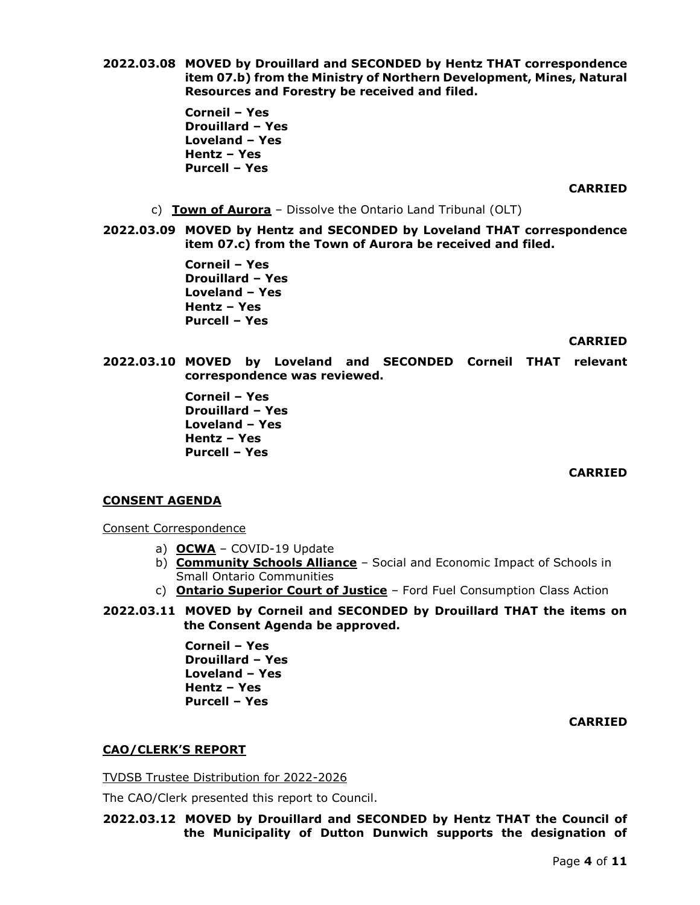**Corneil – Yes Drouillard – Yes Loveland – Yes Hentz – Yes Purcell – Yes** 

**CARRIED**

c) **Town of Aurora** – Dissolve the Ontario Land Tribunal (OLT)

**2022.03.09 MOVED by Hentz and SECONDED by Loveland THAT correspondence item 07.c) from the Town of Aurora be received and filed.**

> **Corneil – Yes Drouillard – Yes Loveland – Yes Hentz – Yes Purcell – Yes**

> > **CARRIED**

**2022.03.10 MOVED by Loveland and SECONDED Corneil THAT relevant correspondence was reviewed.**

> **Corneil – Yes Drouillard – Yes Loveland – Yes Hentz – Yes Purcell – Yes**

> > **CARRIED**

### **CONSENT AGENDA**

Consent Correspondence

- a) **OCWA** COVID-19 Update
- b) **Community Schools Alliance** Social and Economic Impact of Schools in Small Ontario Communities
- c) **Ontario Superior Court of Justice** Ford Fuel Consumption Class Action
- **2022.03.11 MOVED by Corneil and SECONDED by Drouillard THAT the items on the Consent Agenda be approved.**

**Corneil – Yes Drouillard – Yes Loveland – Yes Hentz – Yes Purcell – Yes** 

**CARRIED**

# **CAO/CLERK'S REPORT**

TVDSB Trustee Distribution for 2022-2026

The CAO/Clerk presented this report to Council.

**2022.03.12 MOVED by Drouillard and SECONDED by Hentz THAT the Council of the Municipality of Dutton Dunwich supports the designation of**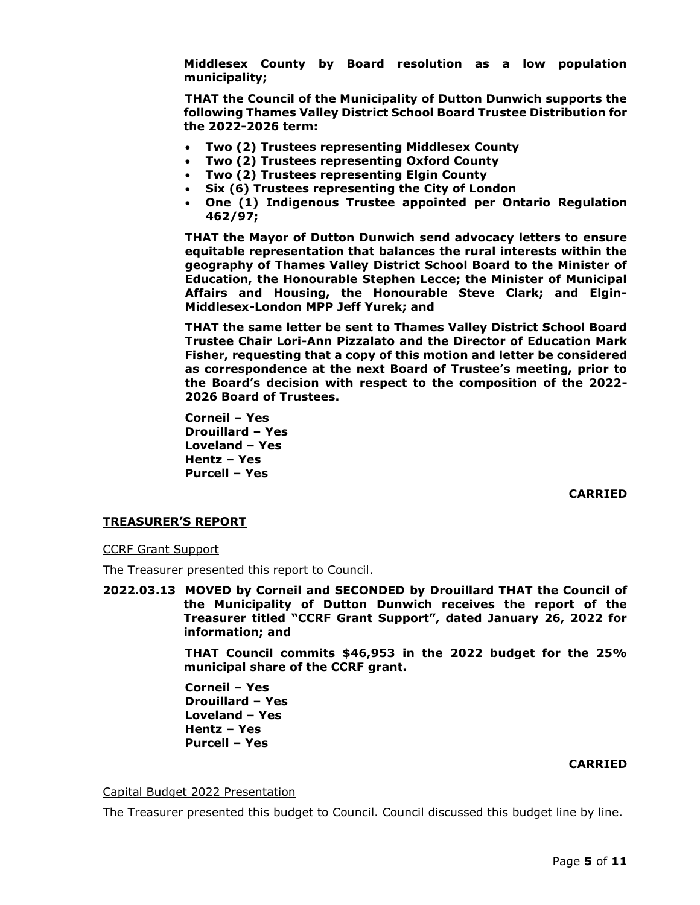**Middlesex County by Board resolution as a low population municipality;**

**THAT the Council of the Municipality of Dutton Dunwich supports the following Thames Valley District School Board Trustee Distribution for the 2022-2026 term:**

- **Two (2) Trustees representing Middlesex County**
- **Two (2) Trustees representing Oxford County**
- **Two (2) Trustees representing Elgin County**
- **Six (6) Trustees representing the City of London**
- **One (1) Indigenous Trustee appointed per Ontario Regulation 462/97;**

**THAT the Mayor of Dutton Dunwich send advocacy letters to ensure equitable representation that balances the rural interests within the geography of Thames Valley District School Board to the Minister of Education, the Honourable Stephen Lecce; the Minister of Municipal Affairs and Housing, the Honourable Steve Clark; and Elgin-Middlesex-London MPP Jeff Yurek; and**

**THAT the same letter be sent to Thames Valley District School Board Trustee Chair Lori-Ann Pizzalato and the Director of Education Mark Fisher, requesting that a copy of this motion and letter be considered as correspondence at the next Board of Trustee's meeting, prior to the Board's decision with respect to the composition of the 2022- 2026 Board of Trustees.**

**Corneil – Yes Drouillard – Yes Loveland – Yes Hentz – Yes Purcell – Yes** 

**CARRIED**

# **TREASURER'S REPORT**

CCRF Grant Support

The Treasurer presented this report to Council.

**2022.03.13 MOVED by Corneil and SECONDED by Drouillard THAT the Council of the Municipality of Dutton Dunwich receives the report of the Treasurer titled "CCRF Grant Support", dated January 26, 2022 for information; and**

> **THAT Council commits \$46,953 in the 2022 budget for the 25% municipal share of the CCRF grant.**

**Corneil – Yes Drouillard – Yes Loveland – Yes Hentz – Yes Purcell – Yes** 

### **CARRIED**

#### Capital Budget 2022 Presentation

The Treasurer presented this budget to Council. Council discussed this budget line by line.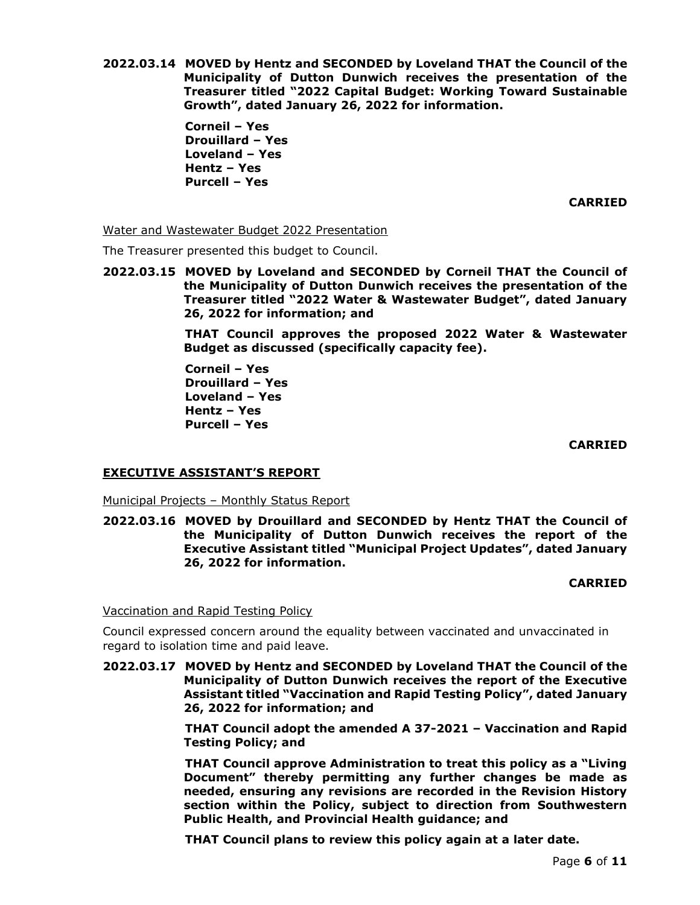**2022.03.14 MOVED by Hentz and SECONDED by Loveland THAT the Council of the Municipality of Dutton Dunwich receives the presentation of the Treasurer titled "2022 Capital Budget: Working Toward Sustainable Growth", dated January 26, 2022 for information.**

> **Corneil – Yes Drouillard – Yes Loveland – Yes Hentz – Yes Purcell – Yes**

> > **CARRIED**

Water and Wastewater Budget 2022 Presentation

The Treasurer presented this budget to Council.

**2022.03.15 MOVED by Loveland and SECONDED by Corneil THAT the Council of the Municipality of Dutton Dunwich receives the presentation of the Treasurer titled "2022 Water & Wastewater Budget", dated January 26, 2022 for information; and**

> **THAT Council approves the proposed 2022 Water & Wastewater Budget as discussed (specifically capacity fee).**

**Corneil – Yes Drouillard – Yes Loveland – Yes Hentz – Yes Purcell – Yes** 

**CARRIED**

### **EXECUTIVE ASSISTANT'S REPORT**

Municipal Projects – Monthly Status Report

**2022.03.16 MOVED by Drouillard and SECONDED by Hentz THAT the Council of the Municipality of Dutton Dunwich receives the report of the Executive Assistant titled "Municipal Project Updates", dated January 26, 2022 for information.**

# **CARRIED**

Vaccination and Rapid Testing Policy

Council expressed concern around the equality between vaccinated and unvaccinated in regard to isolation time and paid leave.

**2022.03.17 MOVED by Hentz and SECONDED by Loveland THAT the Council of the Municipality of Dutton Dunwich receives the report of the Executive Assistant titled "Vaccination and Rapid Testing Policy", dated January 26, 2022 for information; and**

> **THAT Council adopt the amended A 37-2021 – Vaccination and Rapid Testing Policy; and**

> **THAT Council approve Administration to treat this policy as a "Living Document" thereby permitting any further changes be made as needed, ensuring any revisions are recorded in the Revision History section within the Policy, subject to direction from Southwestern Public Health, and Provincial Health guidance; and**

**THAT Council plans to review this policy again at a later date.**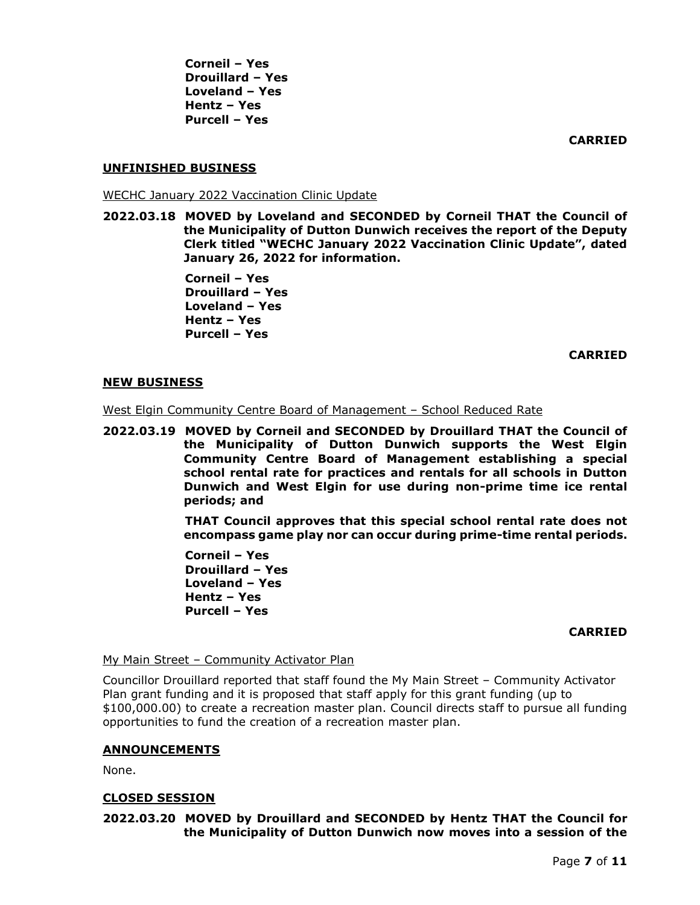**Corneil – Yes Drouillard – Yes Loveland – Yes Hentz – Yes Purcell – Yes** 

**CARRIED**

## **UNFINISHED BUSINESS**

WECHC January 2022 Vaccination Clinic Update

**2022.03.18 MOVED by Loveland and SECONDED by Corneil THAT the Council of the Municipality of Dutton Dunwich receives the report of the Deputy Clerk titled "WECHC January 2022 Vaccination Clinic Update", dated January 26, 2022 for information.**

> **Corneil – Yes Drouillard – Yes Loveland – Yes Hentz – Yes Purcell – Yes**

> > **CARRIED**

### **NEW BUSINESS**

West Elgin Community Centre Board of Management – School Reduced Rate

**2022.03.19 MOVED by Corneil and SECONDED by Drouillard THAT the Council of the Municipality of Dutton Dunwich supports the West Elgin Community Centre Board of Management establishing a special school rental rate for practices and rentals for all schools in Dutton Dunwich and West Elgin for use during non-prime time ice rental periods; and**

> **THAT Council approves that this special school rental rate does not encompass game play nor can occur during prime-time rental periods.**

**Corneil – Yes Drouillard – Yes Loveland – Yes Hentz – Yes Purcell – Yes** 

### **CARRIED**

# My Main Street - Community Activator Plan

Councillor Drouillard reported that staff found the My Main Street – Community Activator Plan grant funding and it is proposed that staff apply for this grant funding (up to \$100,000.00) to create a recreation master plan. Council directs staff to pursue all funding opportunities to fund the creation of a recreation master plan.

### **ANNOUNCEMENTS**

None.

## **CLOSED SESSION**

**2022.03.20 MOVED by Drouillard and SECONDED by Hentz THAT the Council for the Municipality of Dutton Dunwich now moves into a session of the**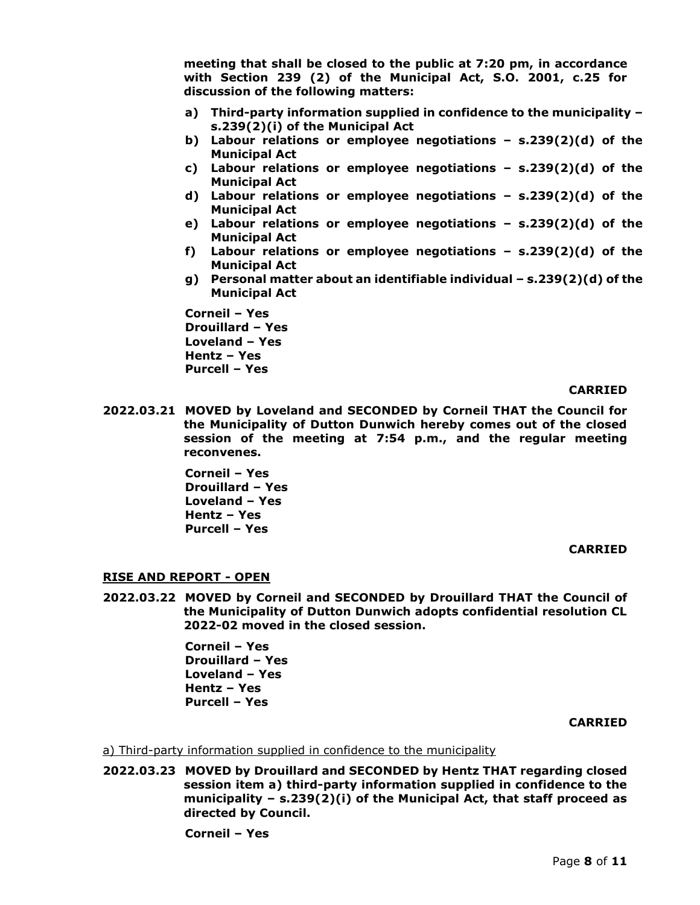**meeting that shall be closed to the public at 7:20 pm, in accordance with Section 239 (2) of the Municipal Act, S.O. 2001, c.25 for discussion of the following matters:**

- **a) Third-party information supplied in confidence to the municipality – s.239(2)(i) of the Municipal Act**
- **b) Labour relations or employee negotiations – s.239(2)(d) of the Municipal Act**
- **c) Labour relations or employee negotiations – s.239(2)(d) of the Municipal Act**
- **d) Labour relations or employee negotiations – s.239(2)(d) of the Municipal Act**
- **e) Labour relations or employee negotiations – s.239(2)(d) of the Municipal Act**
- **f) Labour relations or employee negotiations – s.239(2)(d) of the Municipal Act**
- **g) Personal matter about an identifiable individual – s.239(2)(d) of the Municipal Act**

**Corneil – Yes Drouillard – Yes Loveland – Yes Hentz – Yes Purcell – Yes** 

### **CARRIED**

**2022.03.21 MOVED by Loveland and SECONDED by Corneil THAT the Council for the Municipality of Dutton Dunwich hereby comes out of the closed session of the meeting at 7:54 p.m., and the regular meeting reconvenes.**

> **Corneil – Yes Drouillard – Yes Loveland – Yes Hentz – Yes Purcell – Yes**

#### **CARRIED**

### **RISE AND REPORT - OPEN**

**2022.03.22 MOVED by Corneil and SECONDED by Drouillard THAT the Council of the Municipality of Dutton Dunwich adopts confidential resolution CL 2022-02 moved in the closed session.**

> **Corneil – Yes Drouillard – Yes Loveland – Yes Hentz – Yes Purcell – Yes**

> > **CARRIED**

a) Third-party information supplied in confidence to the municipality

**2022.03.23 MOVED by Drouillard and SECONDED by Hentz THAT regarding closed session item a) third-party information supplied in confidence to the municipality – s.239(2)(i) of the Municipal Act, that staff proceed as directed by Council.**

**Corneil – Yes**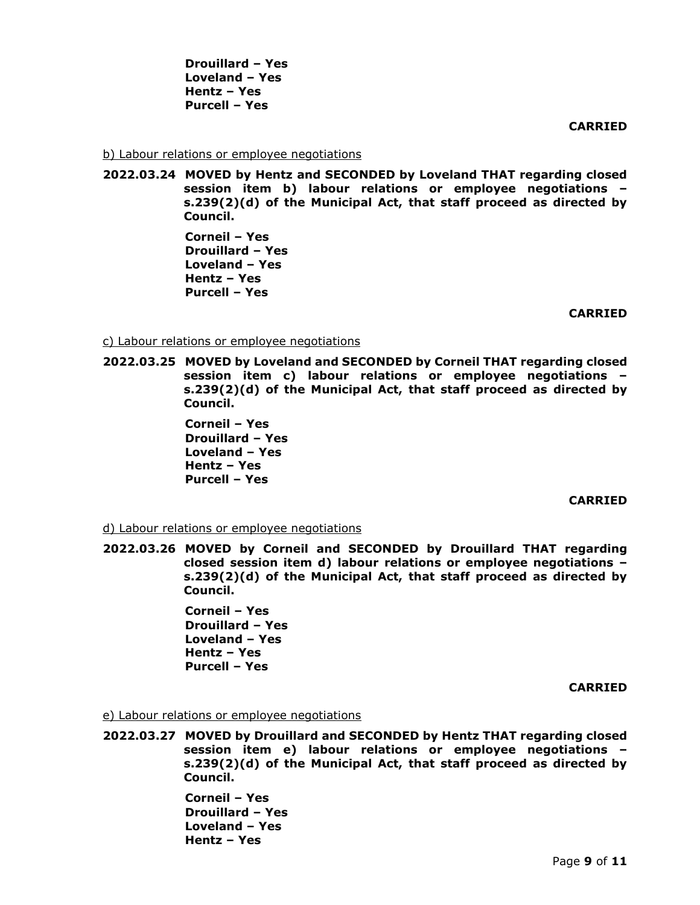**Drouillard – Yes Loveland – Yes Hentz – Yes Purcell – Yes** 

**CARRIED**

b) Labour relations or employee negotiations

**2022.03.24 MOVED by Hentz and SECONDED by Loveland THAT regarding closed session item b) labour relations or employee negotiations – s.239(2)(d) of the Municipal Act, that staff proceed as directed by Council.**

> **Corneil – Yes Drouillard – Yes Loveland – Yes Hentz – Yes Purcell – Yes**

> > **CARRIED**

c) Labour relations or employee negotiations

**2022.03.25 MOVED by Loveland and SECONDED by Corneil THAT regarding closed session item c) labour relations or employee negotiations – s.239(2)(d) of the Municipal Act, that staff proceed as directed by Council.**

> **Corneil – Yes Drouillard – Yes Loveland – Yes Hentz – Yes Purcell – Yes**

> > **CARRIED**

d) Labour relations or employee negotiations

**2022.03.26 MOVED by Corneil and SECONDED by Drouillard THAT regarding closed session item d) labour relations or employee negotiations – s.239(2)(d) of the Municipal Act, that staff proceed as directed by Council.**

> **Corneil – Yes Drouillard – Yes Loveland – Yes Hentz – Yes Purcell – Yes**

> > **CARRIED**

e) Labour relations or employee negotiations

**2022.03.27 MOVED by Drouillard and SECONDED by Hentz THAT regarding closed session item e) labour relations or employee negotiations – s.239(2)(d) of the Municipal Act, that staff proceed as directed by Council.**

> **Corneil – Yes Drouillard – Yes Loveland – Yes Hentz – Yes**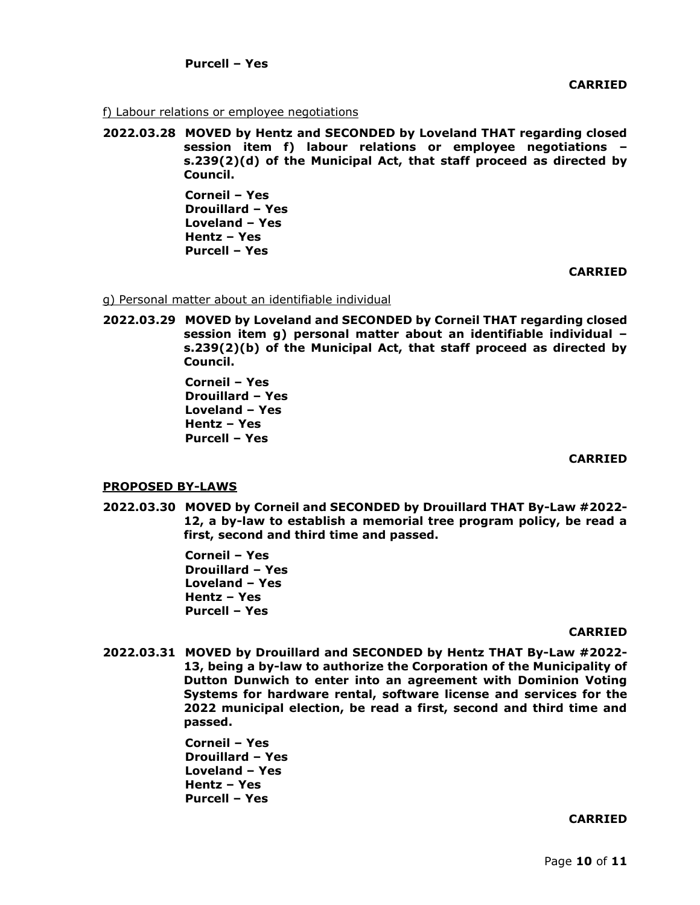f) Labour relations or employee negotiations

**2022.03.28 MOVED by Hentz and SECONDED by Loveland THAT regarding closed session item f) labour relations or employee negotiations – s.239(2)(d) of the Municipal Act, that staff proceed as directed by Council.**

> **Corneil – Yes Drouillard – Yes Loveland – Yes Hentz – Yes Purcell – Yes**

> > **CARRIED**

g) Personal matter about an identifiable individual

**2022.03.29 MOVED by Loveland and SECONDED by Corneil THAT regarding closed session item g) personal matter about an identifiable individual – s.239(2)(b) of the Municipal Act, that staff proceed as directed by Council.**

> **Corneil – Yes Drouillard – Yes Loveland – Yes Hentz – Yes Purcell – Yes**

### **CARRIED**

# **PROPOSED BY-LAWS**

**2022.03.30 MOVED by Corneil and SECONDED by Drouillard THAT By-Law #2022- 12, a by-law to establish a memorial tree program policy, be read a first, second and third time and passed.**

> **Corneil – Yes Drouillard – Yes Loveland – Yes Hentz – Yes Purcell – Yes**

### **CARRIED**

**2022.03.31 MOVED by Drouillard and SECONDED by Hentz THAT By-Law #2022- 13, being a by-law to authorize the Corporation of the Municipality of Dutton Dunwich to enter into an agreement with Dominion Voting Systems for hardware rental, software license and services for the 2022 municipal election, be read a first, second and third time and passed.**

> **Corneil – Yes Drouillard – Yes Loveland – Yes Hentz – Yes Purcell – Yes**

### **CARRIED**